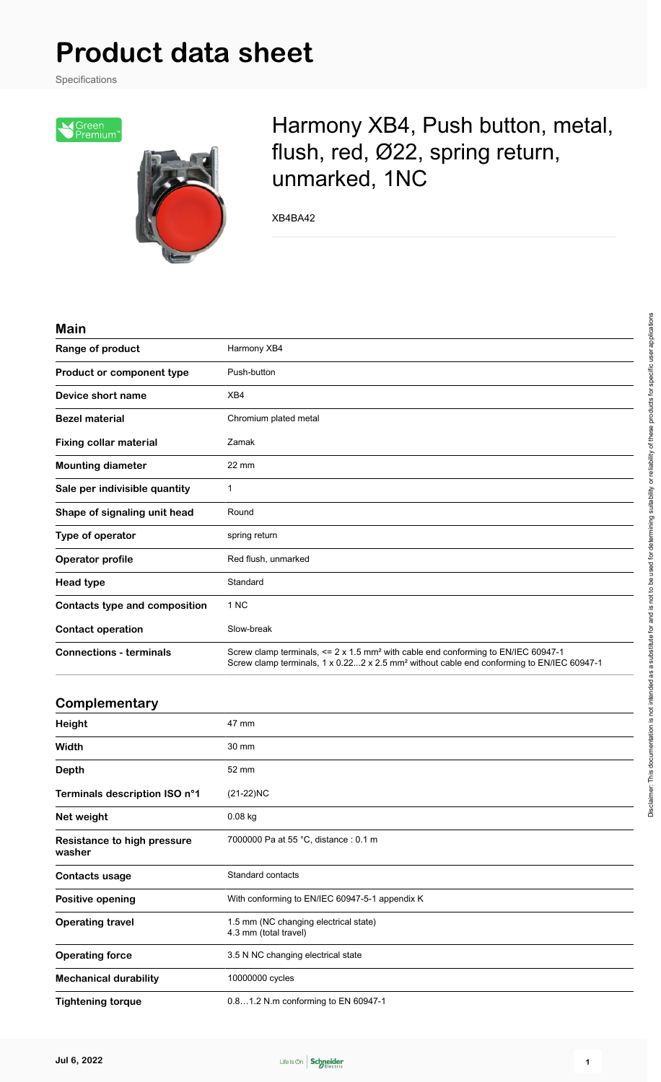# **Product data sheet**

Specifications



## Harmony XB4, Push button, metal, flush, red, Ø22, spring return, unmarked, 1NC

XB4BA42

#### **Main**

| Range of product               | Harmony XB4                                                                                                                                                                                                     |  |
|--------------------------------|-----------------------------------------------------------------------------------------------------------------------------------------------------------------------------------------------------------------|--|
| Product or component type      | Push-button                                                                                                                                                                                                     |  |
| Device short name              | XB4                                                                                                                                                                                                             |  |
| <b>Bezel material</b>          | Chromium plated metal                                                                                                                                                                                           |  |
| <b>Fixing collar material</b>  | Zamak                                                                                                                                                                                                           |  |
| <b>Mounting diameter</b>       | $22 \text{ mm}$                                                                                                                                                                                                 |  |
| Sale per indivisible quantity  | 1                                                                                                                                                                                                               |  |
| Shape of signaling unit head   | Round                                                                                                                                                                                                           |  |
| Type of operator               | spring return                                                                                                                                                                                                   |  |
| Operator profile               | Red flush, unmarked                                                                                                                                                                                             |  |
| <b>Head type</b>               | Standard                                                                                                                                                                                                        |  |
| Contacts type and composition  | 1 NC                                                                                                                                                                                                            |  |
| <b>Contact operation</b>       | Slow-break                                                                                                                                                                                                      |  |
| <b>Connections - terminals</b> | Screw clamp terminals, $\leq 2 \times 1.5$ mm <sup>2</sup> with cable end conforming to EN/IEC 60947-1<br>Screw clamp terminals, 1 x 0.222 x 2.5 mm <sup>2</sup> without cable end conforming to EN/IEC 60947-1 |  |

#### **Complementary**

| Height                                | 47 mm                                                          |
|---------------------------------------|----------------------------------------------------------------|
| Width                                 | 30 mm                                                          |
| <b>Depth</b>                          | 52 mm                                                          |
| Terminals description ISO n°1         | $(21-22)NC$                                                    |
| Net weight                            | $0.08$ kg                                                      |
| Resistance to high pressure<br>washer | 7000000 Pa at 55 °C, distance : 0.1 m                          |
| Contacts usage                        | Standard contacts                                              |
| <b>Positive opening</b>               | With conforming to EN/IEC 60947-5-1 appendix K                 |
| <b>Operating travel</b>               | 1.5 mm (NC changing electrical state)<br>4.3 mm (total travel) |
| <b>Operating force</b>                | 3.5 N NC changing electrical state                             |
| <b>Mechanical durability</b>          | 10000000 cycles                                                |
| <b>Tightening torque</b>              | 0.81.2 N.m conforming to EN 60947-1                            |

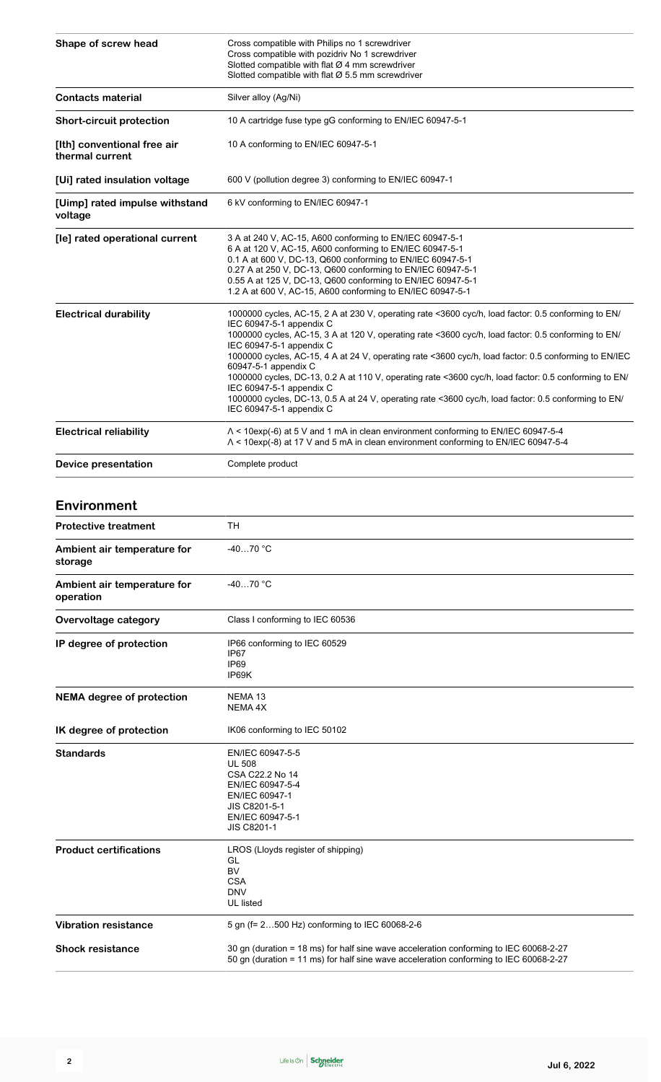| Shape of screw head                            | Cross compatible with Philips no 1 screwdriver<br>Cross compatible with pozidriv No 1 screwdriver<br>Slotted compatible with flat $Ø$ 4 mm screwdriver<br>Slotted compatible with flat $\varnothing$ 5.5 mm screwdriver                                                                                                                                                                                                                                                                                                                                                                                                                                                      |  |
|------------------------------------------------|------------------------------------------------------------------------------------------------------------------------------------------------------------------------------------------------------------------------------------------------------------------------------------------------------------------------------------------------------------------------------------------------------------------------------------------------------------------------------------------------------------------------------------------------------------------------------------------------------------------------------------------------------------------------------|--|
| <b>Contacts material</b>                       | Silver alloy (Ag/Ni)                                                                                                                                                                                                                                                                                                                                                                                                                                                                                                                                                                                                                                                         |  |
| <b>Short-circuit protection</b>                | 10 A cartridge fuse type gG conforming to EN/IEC 60947-5-1                                                                                                                                                                                                                                                                                                                                                                                                                                                                                                                                                                                                                   |  |
| [Ith] conventional free air<br>thermal current | 10 A conforming to EN/IEC 60947-5-1                                                                                                                                                                                                                                                                                                                                                                                                                                                                                                                                                                                                                                          |  |
| [Ui] rated insulation voltage                  | 600 V (pollution degree 3) conforming to EN/IEC 60947-1                                                                                                                                                                                                                                                                                                                                                                                                                                                                                                                                                                                                                      |  |
| [Uimp] rated impulse withstand<br>voltage      | 6 kV conforming to EN/IEC 60947-1                                                                                                                                                                                                                                                                                                                                                                                                                                                                                                                                                                                                                                            |  |
| [le] rated operational current                 | 3 A at 240 V, AC-15, A600 conforming to EN/IEC 60947-5-1<br>6 A at 120 V, AC-15, A600 conforming to EN/IEC 60947-5-1<br>0.1 A at 600 V, DC-13, Q600 conforming to EN/IEC 60947-5-1<br>0.27 A at 250 V, DC-13, Q600 conforming to EN/IEC 60947-5-1<br>0.55 A at 125 V, DC-13, Q600 conforming to EN/IEC 60947-5-1<br>1.2 A at 600 V, AC-15, A600 conforming to EN/IEC 60947-5-1                                                                                                                                                                                                                                                                                               |  |
| <b>Electrical durability</b>                   | 1000000 cycles, AC-15, 2 A at 230 V, operating rate <3600 cyc/h, load factor: 0.5 conforming to EN/<br>IEC 60947-5-1 appendix C<br>1000000 cycles, AC-15, 3 A at 120 V, operating rate <3600 cyc/h, load factor: 0.5 conforming to EN/<br>IEC 60947-5-1 appendix C<br>1000000 cycles, AC-15, 4 A at 24 V, operating rate <3600 cyc/h, load factor: 0.5 conforming to EN/IEC<br>60947-5-1 appendix C<br>1000000 cycles, DC-13, 0.2 A at 110 V, operating rate <3600 cyc/h, load factor: 0.5 conforming to EN/<br>IEC 60947-5-1 appendix C<br>1000000 cycles, DC-13, 0.5 A at 24 V, operating rate <3600 cyc/h, load factor: 0.5 conforming to EN/<br>IEC 60947-5-1 appendix C |  |
| <b>Electrical reliability</b>                  | $\Lambda$ < 10exp(-6) at 5 V and 1 mA in clean environment conforming to EN/IEC 60947-5-4<br>A < 10exp(-8) at 17 V and 5 mA in clean environment conforming to EN/IEC 60947-5-4                                                                                                                                                                                                                                                                                                                                                                                                                                                                                              |  |
| Device presentation                            | Complete product                                                                                                                                                                                                                                                                                                                                                                                                                                                                                                                                                                                                                                                             |  |

#### **Environment**

| <b>Protective treatment</b>              | TН                                                                                                                                                                             |  |
|------------------------------------------|--------------------------------------------------------------------------------------------------------------------------------------------------------------------------------|--|
| Ambient air temperature for<br>storage   | $-4070$ °C                                                                                                                                                                     |  |
| Ambient air temperature for<br>operation | $-4070 °C$                                                                                                                                                                     |  |
| Overvoltage category                     | Class I conforming to IEC 60536                                                                                                                                                |  |
| IP degree of protection                  | IP66 conforming to IEC 60529<br>IP67<br>IP <sub>69</sub><br>IP69K                                                                                                              |  |
| <b>NEMA</b> degree of protection         | NEMA <sub>13</sub><br>NEMA 4X                                                                                                                                                  |  |
| IK degree of protection                  | IK06 conforming to IEC 50102                                                                                                                                                   |  |
| <b>Standards</b>                         | EN/IEC 60947-5-5<br><b>UL 508</b><br>CSA C22.2 No 14<br>EN/IEC 60947-5-4<br>EN/IEC 60947-1<br>JIS C8201-5-1<br>EN/IEC 60947-5-1<br><b>JIS C8201-1</b>                          |  |
| <b>Product certifications</b>            | LROS (Lloyds register of shipping)<br>GL<br><b>BV</b><br><b>CSA</b><br><b>DNV</b><br><b>UL</b> listed                                                                          |  |
| <b>Vibration resistance</b>              | 5 gn (f= 2500 Hz) conforming to IEC 60068-2-6                                                                                                                                  |  |
| <b>Shock resistance</b>                  | 30 gn (duration = 18 ms) for half sine wave acceleration conforming to IEC 60068-2-27<br>50 gn (duration = 11 ms) for half sine wave acceleration conforming to IEC 60068-2-27 |  |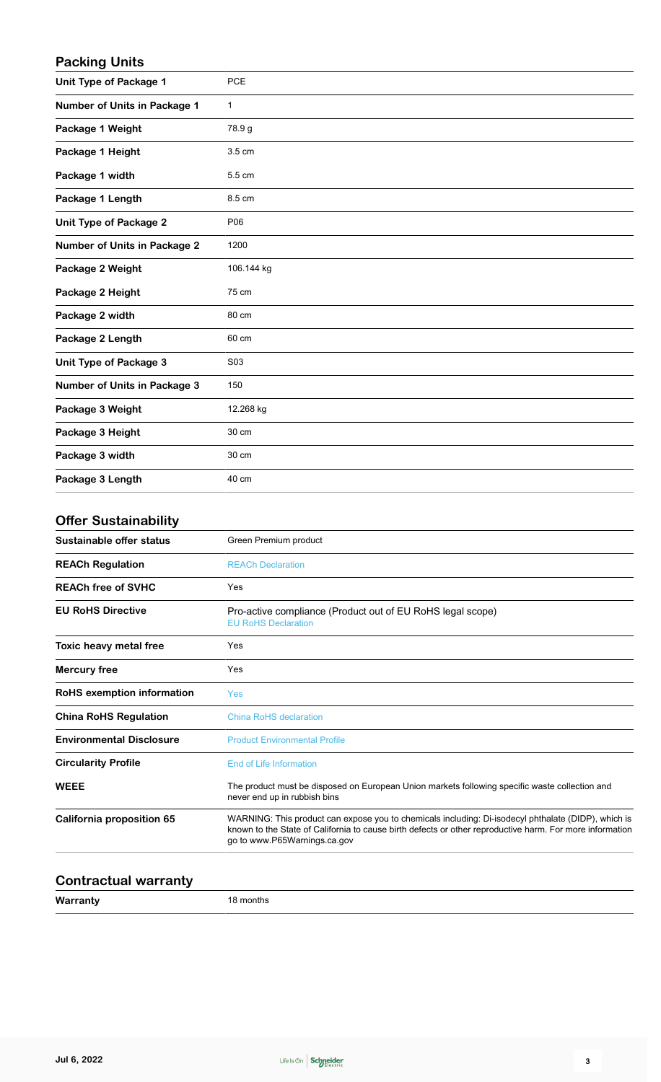#### **Packing Units**

| <b>Unit Type of Package 1</b>       | PCE          |
|-------------------------------------|--------------|
| Number of Units in Package 1        | $\mathbf{1}$ |
| Package 1 Weight                    | 78.9 g       |
| Package 1 Height                    | 3.5 cm       |
| Package 1 width                     | 5.5 cm       |
| Package 1 Length                    | 8.5 cm       |
| <b>Unit Type of Package 2</b>       | P06          |
| <b>Number of Units in Package 2</b> | 1200         |
| Package 2 Weight                    | 106.144 kg   |
| Package 2 Height                    | 75 cm        |
| Package 2 width                     | 80 cm        |
| Package 2 Length                    | 60 cm        |
| Unit Type of Package 3              | S03          |
| <b>Number of Units in Package 3</b> | 150          |
| Package 3 Weight                    | 12.268 kg    |
| Package 3 Height                    | 30 cm        |
| Package 3 width                     | 30 cm        |
| Package 3 Length                    | 40 cm        |

#### **Offer Sustainability**

| Sustainable offer status        | Green Premium product                                                                                                                                                                                                                           |  |
|---------------------------------|-------------------------------------------------------------------------------------------------------------------------------------------------------------------------------------------------------------------------------------------------|--|
| <b>REACh Regulation</b>         | <b>REACh Declaration</b>                                                                                                                                                                                                                        |  |
| <b>REACh free of SVHC</b>       | Yes                                                                                                                                                                                                                                             |  |
| <b>EU RoHS Directive</b>        | Pro-active compliance (Product out of EU RoHS legal scope)<br><b>EU RoHS Declaration</b>                                                                                                                                                        |  |
| Toxic heavy metal free          | Yes                                                                                                                                                                                                                                             |  |
| <b>Mercury free</b>             | Yes                                                                                                                                                                                                                                             |  |
| RoHS exemption information      | <b>Yes</b>                                                                                                                                                                                                                                      |  |
| <b>China RoHS Regulation</b>    | <b>China RoHS declaration</b>                                                                                                                                                                                                                   |  |
| <b>Environmental Disclosure</b> | <b>Product Environmental Profile</b>                                                                                                                                                                                                            |  |
| <b>Circularity Profile</b>      | <b>End of Life Information</b>                                                                                                                                                                                                                  |  |
| <b>WEEE</b>                     | The product must be disposed on European Union markets following specific waste collection and<br>never end up in rubbish bins                                                                                                                  |  |
| California proposition 65       | WARNING: This product can expose you to chemicals including: Di-isodecyl phthalate (DIDP), which is<br>known to the State of California to cause birth defects or other reproductive harm. For more information<br>go to www.P65Warnings.ca.gov |  |
|                                 |                                                                                                                                                                                                                                                 |  |

### **Contractual warranty**

**Warranty** 18 months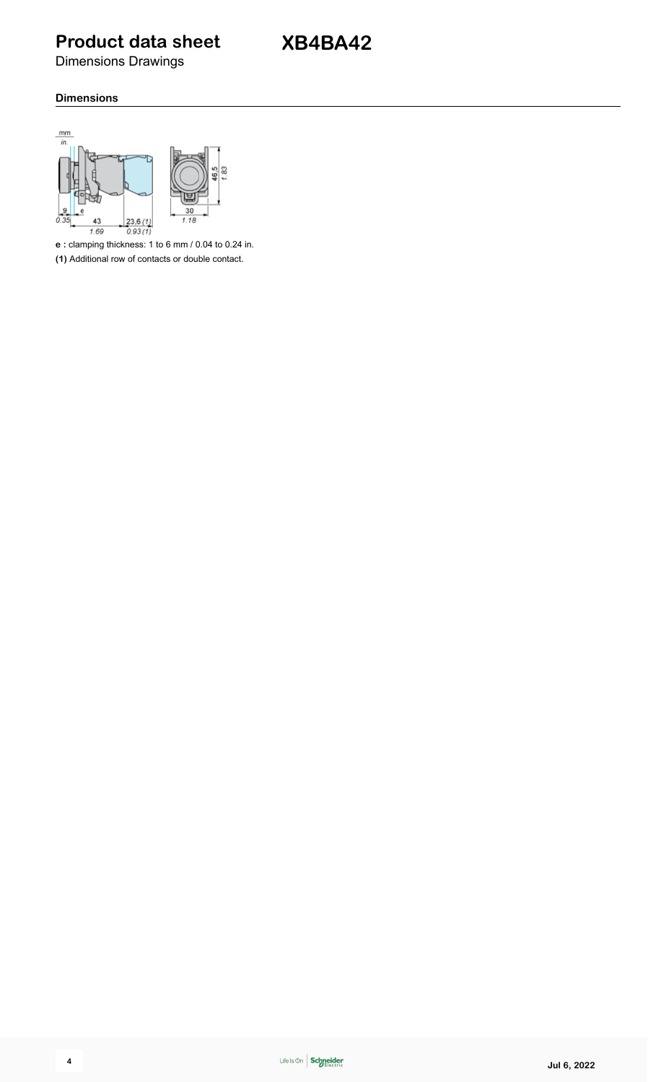**Product data sheet**

Dimensions Drawings

#### **Dimensions**



**e :** clamping thickness: 1 to 6 mm / 0.04 to 0.24 in.

**(1)** Additional row of contacts or double contact.